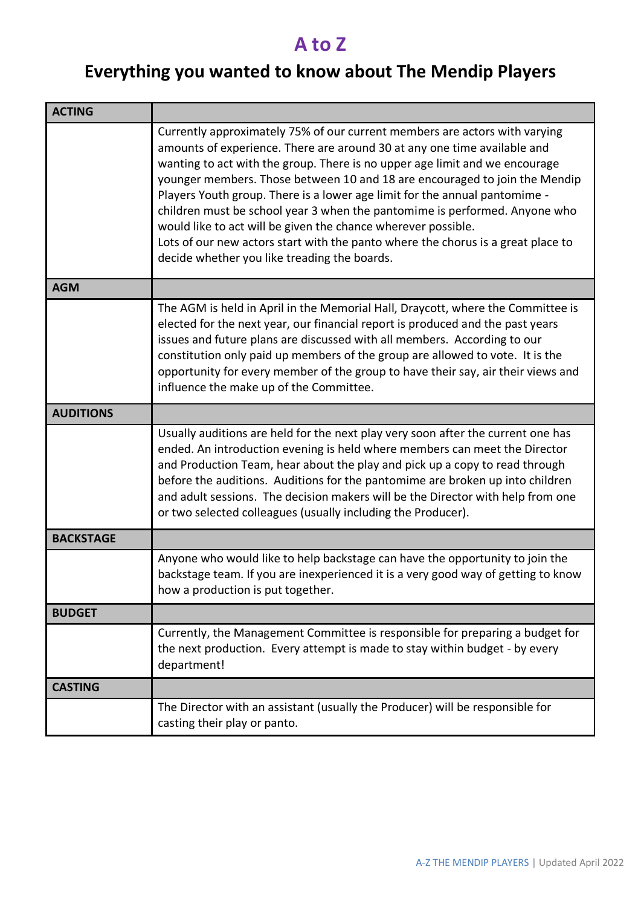## **A to Z**

## **Everything you wanted to know about The Mendip Players**

| <b>ACTING</b>    |                                                                                                                                                                                                                                                                                                                                                                                                                                                                                                                                                                                                                                                                                      |
|------------------|--------------------------------------------------------------------------------------------------------------------------------------------------------------------------------------------------------------------------------------------------------------------------------------------------------------------------------------------------------------------------------------------------------------------------------------------------------------------------------------------------------------------------------------------------------------------------------------------------------------------------------------------------------------------------------------|
|                  | Currently approximately 75% of our current members are actors with varying<br>amounts of experience. There are around 30 at any one time available and<br>wanting to act with the group. There is no upper age limit and we encourage<br>younger members. Those between 10 and 18 are encouraged to join the Mendip<br>Players Youth group. There is a lower age limit for the annual pantomime -<br>children must be school year 3 when the pantomime is performed. Anyone who<br>would like to act will be given the chance wherever possible.<br>Lots of our new actors start with the panto where the chorus is a great place to<br>decide whether you like treading the boards. |
| <b>AGM</b>       |                                                                                                                                                                                                                                                                                                                                                                                                                                                                                                                                                                                                                                                                                      |
|                  | The AGM is held in April in the Memorial Hall, Draycott, where the Committee is<br>elected for the next year, our financial report is produced and the past years<br>issues and future plans are discussed with all members. According to our<br>constitution only paid up members of the group are allowed to vote. It is the<br>opportunity for every member of the group to have their say, air their views and<br>influence the make up of the Committee.                                                                                                                                                                                                                        |
| <b>AUDITIONS</b> |                                                                                                                                                                                                                                                                                                                                                                                                                                                                                                                                                                                                                                                                                      |
|                  | Usually auditions are held for the next play very soon after the current one has<br>ended. An introduction evening is held where members can meet the Director<br>and Production Team, hear about the play and pick up a copy to read through<br>before the auditions. Auditions for the pantomime are broken up into children<br>and adult sessions. The decision makers will be the Director with help from one<br>or two selected colleagues (usually including the Producer).                                                                                                                                                                                                    |
| <b>BACKSTAGE</b> |                                                                                                                                                                                                                                                                                                                                                                                                                                                                                                                                                                                                                                                                                      |
|                  | Anyone who would like to help backstage can have the opportunity to join the<br>backstage team. If you are inexperienced it is a very good way of getting to know<br>how a production is put together.                                                                                                                                                                                                                                                                                                                                                                                                                                                                               |
| <b>BUDGET</b>    |                                                                                                                                                                                                                                                                                                                                                                                                                                                                                                                                                                                                                                                                                      |
|                  | Currently, the Management Committee is responsible for preparing a budget for<br>the next production. Every attempt is made to stay within budget - by every<br>department!                                                                                                                                                                                                                                                                                                                                                                                                                                                                                                          |
| <b>CASTING</b>   |                                                                                                                                                                                                                                                                                                                                                                                                                                                                                                                                                                                                                                                                                      |
|                  | The Director with an assistant (usually the Producer) will be responsible for<br>casting their play or panto.                                                                                                                                                                                                                                                                                                                                                                                                                                                                                                                                                                        |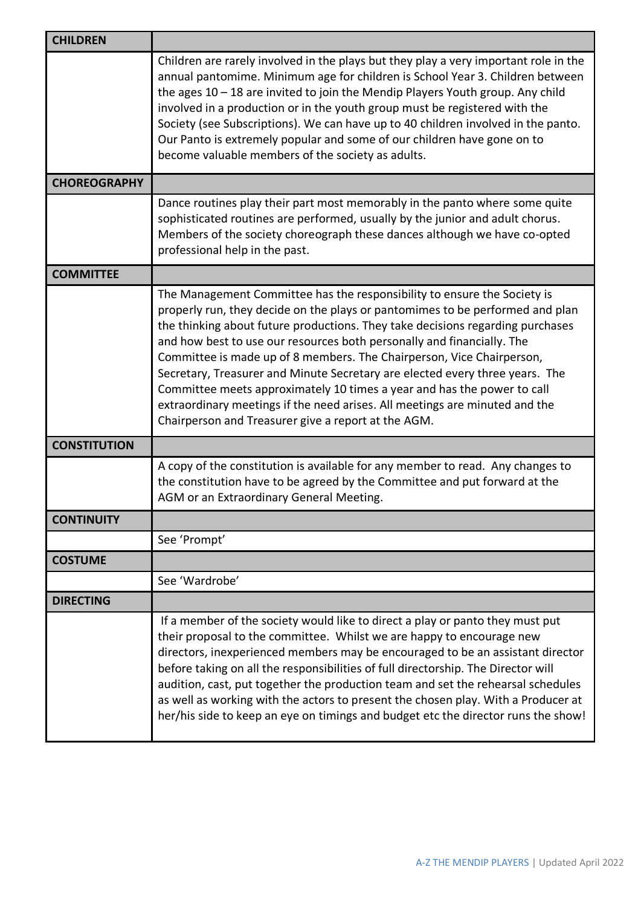| <b>CHILDREN</b>     |                                                                                                                                                                                                                                                                                                                                                                                                                                                                                                                                                                                                                                                                                                 |
|---------------------|-------------------------------------------------------------------------------------------------------------------------------------------------------------------------------------------------------------------------------------------------------------------------------------------------------------------------------------------------------------------------------------------------------------------------------------------------------------------------------------------------------------------------------------------------------------------------------------------------------------------------------------------------------------------------------------------------|
|                     | Children are rarely involved in the plays but they play a very important role in the<br>annual pantomime. Minimum age for children is School Year 3. Children between<br>the ages $10 - 18$ are invited to join the Mendip Players Youth group. Any child<br>involved in a production or in the youth group must be registered with the<br>Society (see Subscriptions). We can have up to 40 children involved in the panto.<br>Our Panto is extremely popular and some of our children have gone on to<br>become valuable members of the society as adults.                                                                                                                                    |
| <b>CHOREOGRAPHY</b> |                                                                                                                                                                                                                                                                                                                                                                                                                                                                                                                                                                                                                                                                                                 |
|                     | Dance routines play their part most memorably in the panto where some quite<br>sophisticated routines are performed, usually by the junior and adult chorus.<br>Members of the society choreograph these dances although we have co-opted<br>professional help in the past.                                                                                                                                                                                                                                                                                                                                                                                                                     |
| <b>COMMITTEE</b>    |                                                                                                                                                                                                                                                                                                                                                                                                                                                                                                                                                                                                                                                                                                 |
|                     | The Management Committee has the responsibility to ensure the Society is<br>properly run, they decide on the plays or pantomimes to be performed and plan<br>the thinking about future productions. They take decisions regarding purchases<br>and how best to use our resources both personally and financially. The<br>Committee is made up of 8 members. The Chairperson, Vice Chairperson,<br>Secretary, Treasurer and Minute Secretary are elected every three years. The<br>Committee meets approximately 10 times a year and has the power to call<br>extraordinary meetings if the need arises. All meetings are minuted and the<br>Chairperson and Treasurer give a report at the AGM. |
| <b>CONSTITUTION</b> |                                                                                                                                                                                                                                                                                                                                                                                                                                                                                                                                                                                                                                                                                                 |
|                     | A copy of the constitution is available for any member to read. Any changes to<br>the constitution have to be agreed by the Committee and put forward at the<br>AGM or an Extraordinary General Meeting.                                                                                                                                                                                                                                                                                                                                                                                                                                                                                        |
| <b>CONTINUITY</b>   |                                                                                                                                                                                                                                                                                                                                                                                                                                                                                                                                                                                                                                                                                                 |
|                     | See 'Prompt'                                                                                                                                                                                                                                                                                                                                                                                                                                                                                                                                                                                                                                                                                    |
| <b>COSTUME</b>      |                                                                                                                                                                                                                                                                                                                                                                                                                                                                                                                                                                                                                                                                                                 |
|                     | See 'Wardrobe'                                                                                                                                                                                                                                                                                                                                                                                                                                                                                                                                                                                                                                                                                  |
| <b>DIRECTING</b>    |                                                                                                                                                                                                                                                                                                                                                                                                                                                                                                                                                                                                                                                                                                 |
|                     | If a member of the society would like to direct a play or panto they must put<br>their proposal to the committee. Whilst we are happy to encourage new<br>directors, inexperienced members may be encouraged to be an assistant director<br>before taking on all the responsibilities of full directorship. The Director will<br>audition, cast, put together the production team and set the rehearsal schedules<br>as well as working with the actors to present the chosen play. With a Producer at<br>her/his side to keep an eye on timings and budget etc the director runs the show!                                                                                                     |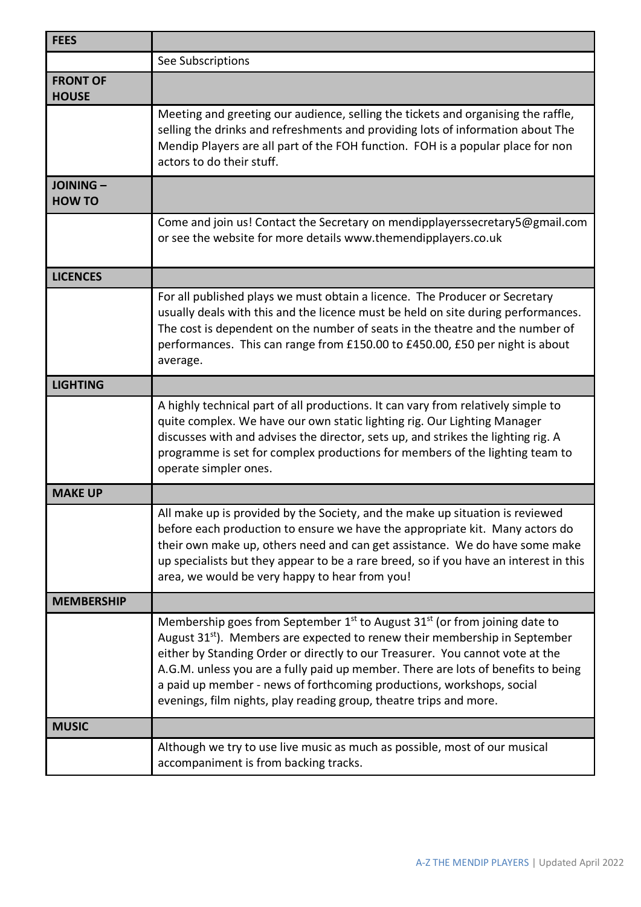| <b>FEES</b>                      |                                                                                                                                                                                                                                                                                                                                                                                                                                                                                                                   |
|----------------------------------|-------------------------------------------------------------------------------------------------------------------------------------------------------------------------------------------------------------------------------------------------------------------------------------------------------------------------------------------------------------------------------------------------------------------------------------------------------------------------------------------------------------------|
|                                  | See Subscriptions                                                                                                                                                                                                                                                                                                                                                                                                                                                                                                 |
| <b>FRONT OF</b><br><b>HOUSE</b>  |                                                                                                                                                                                                                                                                                                                                                                                                                                                                                                                   |
|                                  | Meeting and greeting our audience, selling the tickets and organising the raffle,<br>selling the drinks and refreshments and providing lots of information about The<br>Mendip Players are all part of the FOH function. FOH is a popular place for non<br>actors to do their stuff.                                                                                                                                                                                                                              |
| <b>JOINING-</b><br><b>HOW TO</b> |                                                                                                                                                                                                                                                                                                                                                                                                                                                                                                                   |
|                                  | Come and join us! Contact the Secretary on mendipplayerssecretary5@gmail.com<br>or see the website for more details www.themendipplayers.co.uk                                                                                                                                                                                                                                                                                                                                                                    |
| <b>LICENCES</b>                  |                                                                                                                                                                                                                                                                                                                                                                                                                                                                                                                   |
|                                  | For all published plays we must obtain a licence. The Producer or Secretary<br>usually deals with this and the licence must be held on site during performances.<br>The cost is dependent on the number of seats in the theatre and the number of<br>performances. This can range from £150.00 to £450.00, £50 per night is about<br>average.                                                                                                                                                                     |
| <b>LIGHTING</b>                  |                                                                                                                                                                                                                                                                                                                                                                                                                                                                                                                   |
|                                  | A highly technical part of all productions. It can vary from relatively simple to<br>quite complex. We have our own static lighting rig. Our Lighting Manager<br>discusses with and advises the director, sets up, and strikes the lighting rig. A<br>programme is set for complex productions for members of the lighting team to<br>operate simpler ones.                                                                                                                                                       |
| <b>MAKE UP</b>                   |                                                                                                                                                                                                                                                                                                                                                                                                                                                                                                                   |
|                                  | All make up is provided by the Society, and the make up situation is reviewed<br>before each production to ensure we have the appropriate kit. Many actors do<br>their own make up, others need and can get assistance. We do have some make<br>up specialists but they appear to be a rare breed, so if you have an interest in this<br>area, we would be very happy to hear from you!                                                                                                                           |
| <b>MEMBERSHIP</b>                |                                                                                                                                                                                                                                                                                                                                                                                                                                                                                                                   |
|                                  | Membership goes from September 1 <sup>st</sup> to August 31 <sup>st</sup> (or from joining date to<br>August 31 <sup>st</sup> ). Members are expected to renew their membership in September<br>either by Standing Order or directly to our Treasurer. You cannot vote at the<br>A.G.M. unless you are a fully paid up member. There are lots of benefits to being<br>a paid up member - news of forthcoming productions, workshops, social<br>evenings, film nights, play reading group, theatre trips and more. |
| <b>MUSIC</b>                     |                                                                                                                                                                                                                                                                                                                                                                                                                                                                                                                   |
|                                  | Although we try to use live music as much as possible, most of our musical<br>accompaniment is from backing tracks.                                                                                                                                                                                                                                                                                                                                                                                               |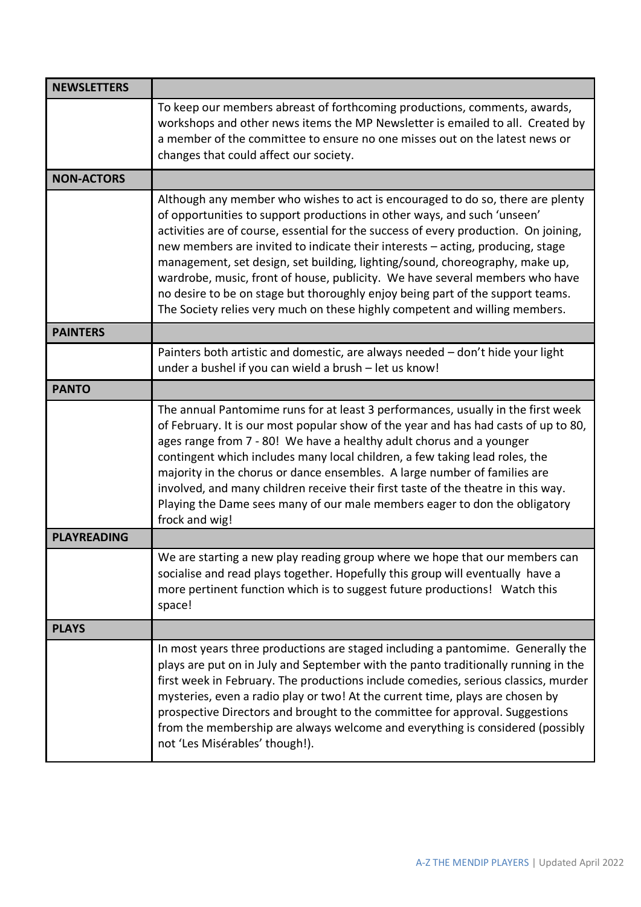| <b>NEWSLETTERS</b> |                                                                                                                                                                                                                                                                                                                                                                                                                                                                                                                                                                                                                                                                       |
|--------------------|-----------------------------------------------------------------------------------------------------------------------------------------------------------------------------------------------------------------------------------------------------------------------------------------------------------------------------------------------------------------------------------------------------------------------------------------------------------------------------------------------------------------------------------------------------------------------------------------------------------------------------------------------------------------------|
|                    | To keep our members abreast of forthcoming productions, comments, awards,<br>workshops and other news items the MP Newsletter is emailed to all. Created by<br>a member of the committee to ensure no one misses out on the latest news or<br>changes that could affect our society.                                                                                                                                                                                                                                                                                                                                                                                  |
| <b>NON-ACTORS</b>  |                                                                                                                                                                                                                                                                                                                                                                                                                                                                                                                                                                                                                                                                       |
|                    | Although any member who wishes to act is encouraged to do so, there are plenty<br>of opportunities to support productions in other ways, and such 'unseen'<br>activities are of course, essential for the success of every production. On joining,<br>new members are invited to indicate their interests - acting, producing, stage<br>management, set design, set building, lighting/sound, choreography, make up,<br>wardrobe, music, front of house, publicity. We have several members who have<br>no desire to be on stage but thoroughly enjoy being part of the support teams.<br>The Society relies very much on these highly competent and willing members. |
| <b>PAINTERS</b>    |                                                                                                                                                                                                                                                                                                                                                                                                                                                                                                                                                                                                                                                                       |
|                    | Painters both artistic and domestic, are always needed - don't hide your light<br>under a bushel if you can wield a brush - let us know!                                                                                                                                                                                                                                                                                                                                                                                                                                                                                                                              |
| <b>PANTO</b>       |                                                                                                                                                                                                                                                                                                                                                                                                                                                                                                                                                                                                                                                                       |
|                    | The annual Pantomime runs for at least 3 performances, usually in the first week<br>of February. It is our most popular show of the year and has had casts of up to 80,<br>ages range from 7 - 80! We have a healthy adult chorus and a younger<br>contingent which includes many local children, a few taking lead roles, the<br>majority in the chorus or dance ensembles. A large number of families are<br>involved, and many children receive their first taste of the theatre in this way.<br>Playing the Dame sees many of our male members eager to don the obligatory<br>frock and wig!                                                                      |
| <b>PLAYREADING</b> |                                                                                                                                                                                                                                                                                                                                                                                                                                                                                                                                                                                                                                                                       |
|                    | We are starting a new play reading group where we hope that our members can<br>socialise and read plays together. Hopefully this group will eventually have a<br>more pertinent function which is to suggest future productions! Watch this<br>space!                                                                                                                                                                                                                                                                                                                                                                                                                 |
| <b>PLAYS</b>       |                                                                                                                                                                                                                                                                                                                                                                                                                                                                                                                                                                                                                                                                       |
|                    | In most years three productions are staged including a pantomime. Generally the<br>plays are put on in July and September with the panto traditionally running in the<br>first week in February. The productions include comedies, serious classics, murder<br>mysteries, even a radio play or two! At the current time, plays are chosen by<br>prospective Directors and brought to the committee for approval. Suggestions<br>from the membership are always welcome and everything is considered (possibly<br>not 'Les Misérables' though!).                                                                                                                       |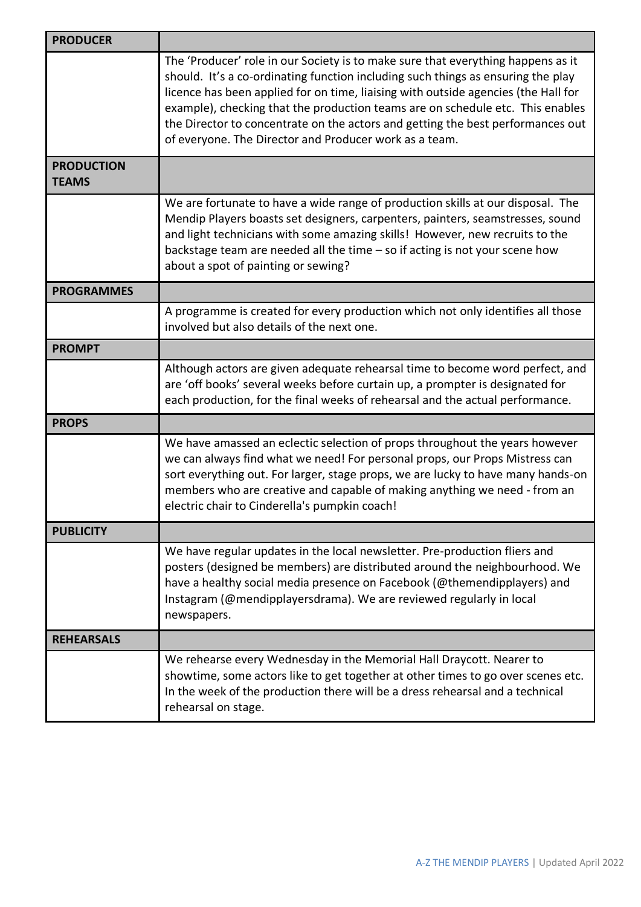| <b>PRODUCER</b>                   |                                                                                                                                                                                                                                                                                                                                                                                                                                                                                           |
|-----------------------------------|-------------------------------------------------------------------------------------------------------------------------------------------------------------------------------------------------------------------------------------------------------------------------------------------------------------------------------------------------------------------------------------------------------------------------------------------------------------------------------------------|
|                                   | The 'Producer' role in our Society is to make sure that everything happens as it<br>should. It's a co-ordinating function including such things as ensuring the play<br>licence has been applied for on time, liaising with outside agencies (the Hall for<br>example), checking that the production teams are on schedule etc. This enables<br>the Director to concentrate on the actors and getting the best performances out<br>of everyone. The Director and Producer work as a team. |
| <b>PRODUCTION</b><br><b>TEAMS</b> |                                                                                                                                                                                                                                                                                                                                                                                                                                                                                           |
|                                   | We are fortunate to have a wide range of production skills at our disposal. The<br>Mendip Players boasts set designers, carpenters, painters, seamstresses, sound<br>and light technicians with some amazing skills! However, new recruits to the<br>backstage team are needed all the time $-$ so if acting is not your scene how<br>about a spot of painting or sewing?                                                                                                                 |
| <b>PROGRAMMES</b>                 |                                                                                                                                                                                                                                                                                                                                                                                                                                                                                           |
|                                   | A programme is created for every production which not only identifies all those<br>involved but also details of the next one.                                                                                                                                                                                                                                                                                                                                                             |
| <b>PROMPT</b>                     |                                                                                                                                                                                                                                                                                                                                                                                                                                                                                           |
|                                   | Although actors are given adequate rehearsal time to become word perfect, and<br>are 'off books' several weeks before curtain up, a prompter is designated for<br>each production, for the final weeks of rehearsal and the actual performance.                                                                                                                                                                                                                                           |
| <b>PROPS</b>                      |                                                                                                                                                                                                                                                                                                                                                                                                                                                                                           |
|                                   | We have amassed an eclectic selection of props throughout the years however<br>we can always find what we need! For personal props, our Props Mistress can<br>sort everything out. For larger, stage props, we are lucky to have many hands-on<br>members who are creative and capable of making anything we need - from an<br>electric chair to Cinderella's pumpkin coach!                                                                                                              |
| <b>PUBLICITY</b>                  |                                                                                                                                                                                                                                                                                                                                                                                                                                                                                           |
|                                   | We have regular updates in the local newsletter. Pre-production fliers and<br>posters (designed be members) are distributed around the neighbourhood. We<br>have a healthy social media presence on Facebook (@themendipplayers) and<br>Instagram (@mendipplayersdrama). We are reviewed regularly in local<br>newspapers.                                                                                                                                                                |
| <b>REHEARSALS</b>                 |                                                                                                                                                                                                                                                                                                                                                                                                                                                                                           |
|                                   | We rehearse every Wednesday in the Memorial Hall Draycott. Nearer to<br>showtime, some actors like to get together at other times to go over scenes etc.<br>In the week of the production there will be a dress rehearsal and a technical<br>rehearsal on stage.                                                                                                                                                                                                                          |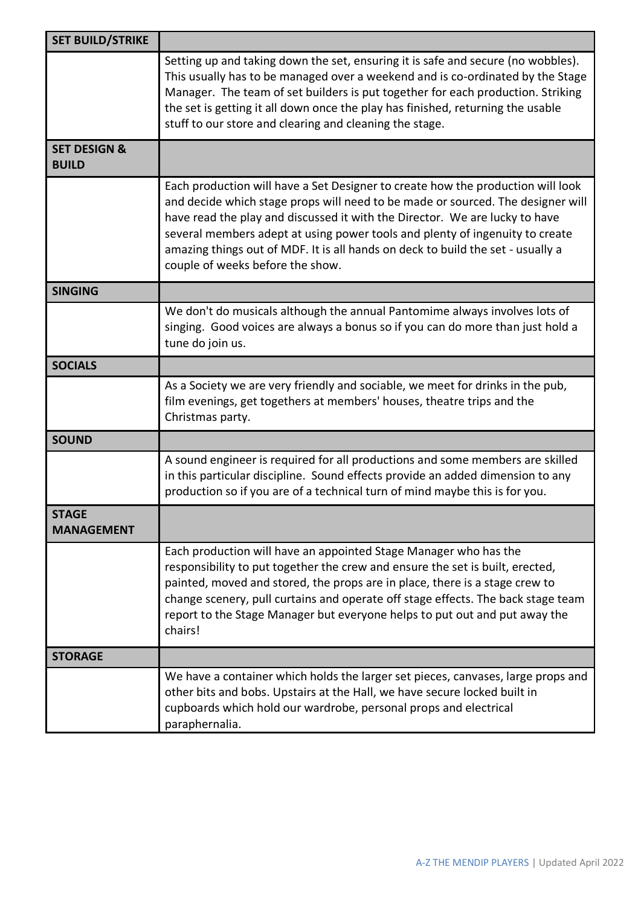| <b>SET BUILD/STRIKE</b>                 |                                                                                                                                                                                                                                                                                                                                                                                                                                                          |
|-----------------------------------------|----------------------------------------------------------------------------------------------------------------------------------------------------------------------------------------------------------------------------------------------------------------------------------------------------------------------------------------------------------------------------------------------------------------------------------------------------------|
|                                         | Setting up and taking down the set, ensuring it is safe and secure (no wobbles).<br>This usually has to be managed over a weekend and is co-ordinated by the Stage<br>Manager. The team of set builders is put together for each production. Striking<br>the set is getting it all down once the play has finished, returning the usable<br>stuff to our store and clearing and cleaning the stage.                                                      |
| <b>SET DESIGN &amp;</b><br><b>BUILD</b> |                                                                                                                                                                                                                                                                                                                                                                                                                                                          |
|                                         | Each production will have a Set Designer to create how the production will look<br>and decide which stage props will need to be made or sourced. The designer will<br>have read the play and discussed it with the Director. We are lucky to have<br>several members adept at using power tools and plenty of ingenuity to create<br>amazing things out of MDF. It is all hands on deck to build the set - usually a<br>couple of weeks before the show. |
| <b>SINGING</b>                          |                                                                                                                                                                                                                                                                                                                                                                                                                                                          |
|                                         | We don't do musicals although the annual Pantomime always involves lots of<br>singing. Good voices are always a bonus so if you can do more than just hold a<br>tune do join us.                                                                                                                                                                                                                                                                         |
| <b>SOCIALS</b>                          |                                                                                                                                                                                                                                                                                                                                                                                                                                                          |
|                                         | As a Society we are very friendly and sociable, we meet for drinks in the pub,<br>film evenings, get togethers at members' houses, theatre trips and the<br>Christmas party.                                                                                                                                                                                                                                                                             |
| <b>SOUND</b>                            |                                                                                                                                                                                                                                                                                                                                                                                                                                                          |
|                                         | A sound engineer is required for all productions and some members are skilled<br>in this particular discipline. Sound effects provide an added dimension to any<br>production so if you are of a technical turn of mind maybe this is for you.                                                                                                                                                                                                           |
| <b>STAGE</b><br><b>MANAGEMENT</b>       |                                                                                                                                                                                                                                                                                                                                                                                                                                                          |
|                                         | Each production will have an appointed Stage Manager who has the<br>responsibility to put together the crew and ensure the set is built, erected,<br>painted, moved and stored, the props are in place, there is a stage crew to<br>change scenery, pull curtains and operate off stage effects. The back stage team<br>report to the Stage Manager but everyone helps to put out and put away the<br>chairs!                                            |
| <b>STORAGE</b>                          |                                                                                                                                                                                                                                                                                                                                                                                                                                                          |
|                                         | We have a container which holds the larger set pieces, canvases, large props and<br>other bits and bobs. Upstairs at the Hall, we have secure locked built in<br>cupboards which hold our wardrobe, personal props and electrical<br>paraphernalia.                                                                                                                                                                                                      |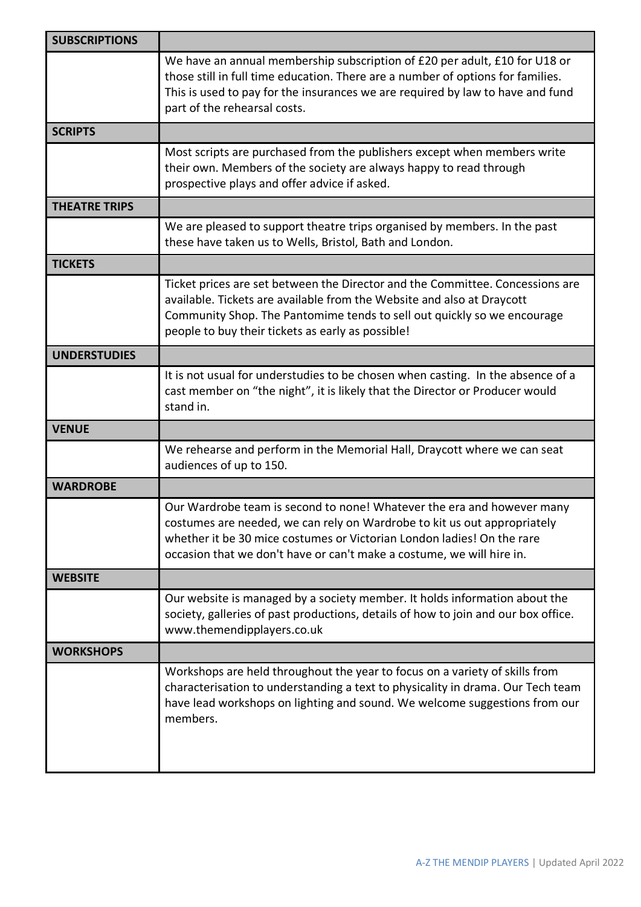| <b>SUBSCRIPTIONS</b> |                                                                                                                                                                                                                                                                                                       |
|----------------------|-------------------------------------------------------------------------------------------------------------------------------------------------------------------------------------------------------------------------------------------------------------------------------------------------------|
|                      | We have an annual membership subscription of £20 per adult, £10 for U18 or<br>those still in full time education. There are a number of options for families.<br>This is used to pay for the insurances we are required by law to have and fund<br>part of the rehearsal costs.                       |
| <b>SCRIPTS</b>       |                                                                                                                                                                                                                                                                                                       |
|                      | Most scripts are purchased from the publishers except when members write<br>their own. Members of the society are always happy to read through<br>prospective plays and offer advice if asked.                                                                                                        |
| <b>THEATRE TRIPS</b> |                                                                                                                                                                                                                                                                                                       |
|                      | We are pleased to support theatre trips organised by members. In the past<br>these have taken us to Wells, Bristol, Bath and London.                                                                                                                                                                  |
| <b>TICKETS</b>       |                                                                                                                                                                                                                                                                                                       |
|                      | Ticket prices are set between the Director and the Committee. Concessions are<br>available. Tickets are available from the Website and also at Draycott<br>Community Shop. The Pantomime tends to sell out quickly so we encourage<br>people to buy their tickets as early as possible!               |
| <b>UNDERSTUDIES</b>  |                                                                                                                                                                                                                                                                                                       |
|                      | It is not usual for understudies to be chosen when casting. In the absence of a<br>cast member on "the night", it is likely that the Director or Producer would<br>stand in.                                                                                                                          |
| <b>VENUE</b>         |                                                                                                                                                                                                                                                                                                       |
|                      | We rehearse and perform in the Memorial Hall, Draycott where we can seat<br>audiences of up to 150.                                                                                                                                                                                                   |
| <b>WARDROBE</b>      |                                                                                                                                                                                                                                                                                                       |
|                      | Our Wardrobe team is second to none! Whatever the era and however many<br>costumes are needed, we can rely on Wardrobe to kit us out appropriately<br>whether it be 30 mice costumes or Victorian London ladies! On the rare<br>occasion that we don't have or can't make a costume, we will hire in. |
| <b>WEBSITE</b>       |                                                                                                                                                                                                                                                                                                       |
|                      | Our website is managed by a society member. It holds information about the<br>society, galleries of past productions, details of how to join and our box office.<br>www.themendipplayers.co.uk                                                                                                        |
| <b>WORKSHOPS</b>     |                                                                                                                                                                                                                                                                                                       |
|                      | Workshops are held throughout the year to focus on a variety of skills from<br>characterisation to understanding a text to physicality in drama. Our Tech team<br>have lead workshops on lighting and sound. We welcome suggestions from our<br>members.                                              |